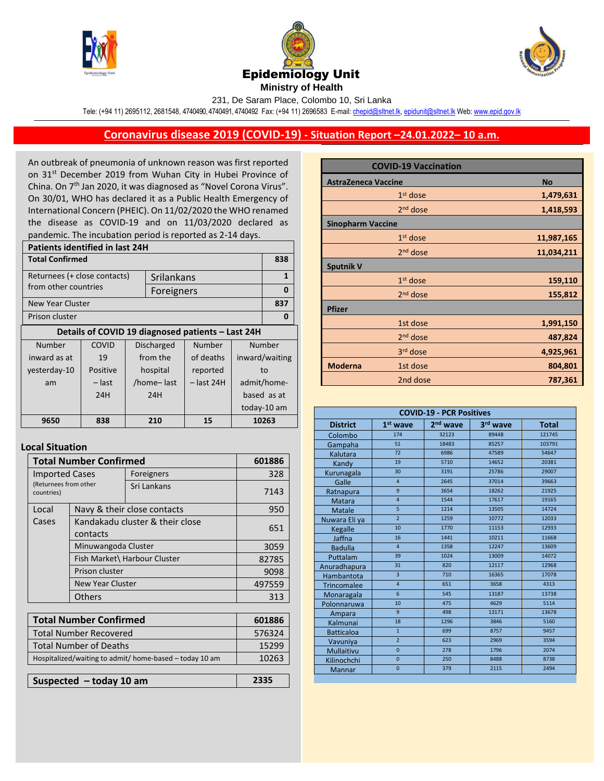





231, De Saram Place, Colombo 10, Sri Lanka

Tele: (+94 11) 2695112, 2681548, 4740490, 4740491, 4740492 Fax: (+94 11) 2696583 E-mail[: chepid@sltnet.lk,](mailto:chepi@sltnet.lk) [epidunit@sltnet.lk](mailto:epidunit@sltnet.lk) Web[: www.epid.gov.lk](http://www.epid.gov.lk/)

## **Coronavirus disease 2019 (COVID-19) - Situation Report –24.01.2022– 10 a.m.**

An outbreak of pneumonia of unknown reason was first reported on 31<sup>st</sup> December 2019 from Wuhan City in Hubei Province of China. On 7<sup>th</sup> Jan 2020, it was diagnosed as "Novel Corona Virus". On 30/01, WHO has declared it as a Public Health Emergency of International Concern (PHEIC). On 11/02/2020 the WHO renamed the disease as COVID-19 and on 11/03/2020 declared as pandemic. The incubation period is reported as 2-14 days.

| <b>Patients identified in last 24H</b>            |          |                          |            |             |                |             |
|---------------------------------------------------|----------|--------------------------|------------|-------------|----------------|-------------|
| <b>Total Confirmed</b>                            |          |                          |            |             | 838            |             |
| Returnees (+ close contacts)<br>Srilankans        |          |                          |            |             | 1              |             |
| from other countries                              |          |                          | Foreigners |             |                | $\Omega$    |
| New Year Cluster                                  |          |                          |            |             |                | 837         |
| Prison cluster                                    |          |                          |            | 0           |                |             |
| Details of COVID 19 diagnosed patients - Last 24H |          |                          |            |             |                |             |
| Number                                            | COVID    | Discharged               |            | Number      | Number         |             |
| inward as at                                      | 19       | from the                 |            | of deaths   | inward/waiting |             |
| yesterday-10                                      | Positive | hospital                 |            | reported    | to             |             |
| am                                                | – last   | /home-last<br>– last 24H |            | admit/home- |                |             |
|                                                   | 24H      |                          | 24H        |             |                | based as at |
|                                                   |          |                          |            |             |                | today-10 am |
| 9650                                              | 838      |                          | 210        | 15          |                | 10263       |
|                                                   |          |                          |            |             |                |             |

## **Local Situation**

| <b>Total Number Confirmed</b>                           |                                             |                             | 601886 |
|---------------------------------------------------------|---------------------------------------------|-----------------------------|--------|
| <b>Imported Cases</b>                                   |                                             | Foreigners                  | 328    |
| (Returnees from other<br>countries)                     |                                             | Sri Lankans                 | 7143   |
| Local                                                   |                                             | Navy & their close contacts | 950    |
| Cases                                                   | Kandakadu cluster & their close<br>contacts |                             | 651    |
|                                                         | Minuwangoda Cluster                         |                             | 3059   |
| Fish Market\ Harbour Cluster                            |                                             |                             | 82785  |
| Prison cluster                                          |                                             |                             | 9098   |
| New Year Cluster                                        |                                             |                             | 497559 |
|                                                         | Others                                      |                             | 313    |
|                                                         |                                             |                             |        |
| <b>Total Number Confirmed</b>                           |                                             |                             | 601886 |
| <b>Total Number Recovered</b>                           |                                             |                             | 576324 |
| <b>Total Number of Deaths</b>                           |                                             |                             | 15299  |
| Hospitalized/waiting to admit/ home-based - today 10 am |                                             | 10263                       |        |
|                                                         |                                             |                             |        |
| Suspected $-$ today 10 am                               |                                             |                             | 2335   |

|                            | <b>COVID-19 Vaccination</b> |            |
|----------------------------|-----------------------------|------------|
| <b>AstraZeneca Vaccine</b> | <b>No</b>                   |            |
|                            | $1st$ dose                  | 1,479,631  |
|                            | 2 <sup>nd</sup> dose        | 1,418,593  |
| <b>Sinopharm Vaccine</b>   |                             |            |
|                            | $1st$ dose                  | 11,987,165 |
|                            | $2nd$ dose                  | 11,034,211 |
| <b>Sputnik V</b>           |                             |            |
|                            | $1st$ dose                  | 159,110    |
|                            | 2 <sup>nd</sup> dose        | 155,812    |
| <b>Pfizer</b>              |                             |            |
|                            | 1st dose                    | 1,991,150  |
|                            | 2 <sup>nd</sup> dose        | 487,824    |
|                            | 3 <sup>rd</sup> dose        | 4,925,961  |
| <b>Moderna</b>             | 1st dose                    | 804,801    |
|                            | 2nd dose                    | 787,361    |

| <b>COVID-19 - PCR Positives</b> |                 |                      |          |              |
|---------------------------------|-----------------|----------------------|----------|--------------|
| <b>District</b>                 | $1st$ wave      | 2 <sup>nd</sup> wave | 3rd wave | <b>Total</b> |
| Colombo                         | 174             | 32123                | 89448    | 121745       |
| Gampaha                         | $\overline{51}$ | 18483                | 85257    | 103791       |
| Kalutara                        | 72              | 6986                 | 47589    | 54647        |
| Kandy                           | 19              | 5710                 | 14652    | 20381        |
| Kurunagala                      | 30              | 3191                 | 25786    | 29007        |
| Galle                           | $\overline{4}$  | 2645                 | 37014    | 39663        |
| Ratnapura                       | 9               | 3654                 | 18262    | 21925        |
| Matara                          | $\overline{4}$  | 1544                 | 17617    | 19165        |
| <b>Matale</b>                   | 5               | 1214                 | 13505    | 14724        |
| Nuwara Eli ya                   | $\overline{2}$  | 1259                 | 10772    | 12033        |
| Kegalle                         | 10              | 1770                 | 11153    | 12933        |
| Jaffna                          | 16              | 1441                 | 10211    | 11668        |
| <b>Badulla</b>                  | $\overline{4}$  | 1358                 | 12247    | 13609        |
| Puttalam                        | 39              | 1024                 | 13009    | 14072        |
| Anuradhapura                    | 31              | 820                  | 12117    | 12968        |
| Hambantota                      | $\overline{3}$  | 710                  | 16365    | 17078        |
| <b>Trincomalee</b>              | $\overline{4}$  | 651                  | 3658     | 4313         |
| Monaragala                      | $6\overline{6}$ | 545                  | 13187    | 13738        |
| Polonnaruwa                     | 10              | 475                  | 4629     | 5114         |
| Ampara                          | $\mathbf{q}$    | 498                  | 13171    | 13678        |
| Kalmunai                        | 18              | 1296                 | 3846     | 5160         |
| <b>Batticaloa</b>               | $\overline{1}$  | 699                  | 8757     | 9457         |
| Vavuniya                        | $\overline{2}$  | 623                  | 2969     | 3594         |
| Mullaitivu                      | $\overline{0}$  | 278                  | 1796     | 2074         |
| Kilinochchi                     | $\overline{0}$  | 250                  | 8488     | 8738         |
| Mannar                          | $\overline{0}$  | 379                  | 2115     | 2494         |